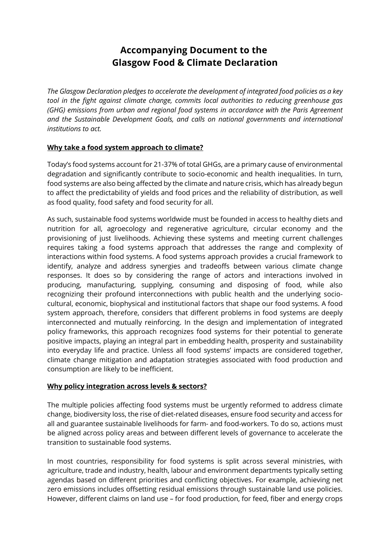## **Accompanying Document to the Glasgow Food & Climate Declaration**

*The Glasgow Declaration pledges to accelerate the development of integrated food policies as a key tool in the fight against climate change, commits local authorities to reducing greenhouse gas (GHG) emissions from urban and regional food systems in accordance with the Paris Agreement and the Sustainable Development Goals, and calls on national governments and international institutions to act.*

## **Why take a food system approach to climate?**

Today's food systems account for 21-37% of total GHGs, are a primary cause of environmental degradation and significantly contribute to socio-economic and health inequalities. In turn, food systems are also being affected by the climate and nature crisis, which has already begun to affect the predictability of yields and food prices and the reliability of distribution, as well as food quality, food safety and food security for all.

As such, sustainable food systems worldwide must be founded in access to healthy diets and nutrition for all, agroecology and regenerative agriculture, circular economy and the provisioning of just livelihoods. Achieving these systems and meeting current challenges requires taking a food systems approach that addresses the range and complexity of interactions within food systems. A food systems approach provides a crucial framework to identify, analyze and address synergies and tradeoffs between various climate change responses. It does so by considering the range of actors and interactions involved in producing, manufacturing, supplying, consuming and disposing of food, while also recognizing their profound interconnections with public health and the underlying sociocultural, economic, biophysical and institutional factors that shape our food systems. A food system approach, therefore, considers that different problems in food systems are deeply interconnected and mutually reinforcing. In the design and implementation of integrated policy frameworks, this approach recognizes food systems for their potential to generate positive impacts, playing an integral part in embedding health, prosperity and sustainability into everyday life and practice. Unless all food systems' impacts are considered together, climate change mitigation and adaptation strategies associated with food production and consumption are likely to be inefficient.

## **Why policy integration across levels & sectors?**

The multiple policies affecting food systems must be urgently reformed to address climate change, biodiversity loss, the rise of diet-related diseases, ensure food security and access for all and guarantee sustainable livelihoods for farm- and food-workers. To do so, actions must be aligned across policy areas and between different levels of governance to accelerate the transition to sustainable food systems.

In most countries, responsibility for food systems is split across several ministries, with agriculture, trade and industry, health, labour and environment departments typically setting agendas based on different priorities and conflicting objectives. For example, achieving net zero emissions includes offsetting residual emissions through sustainable land use policies. However, different claims on land use – for food production, for feed, fiber and energy crops